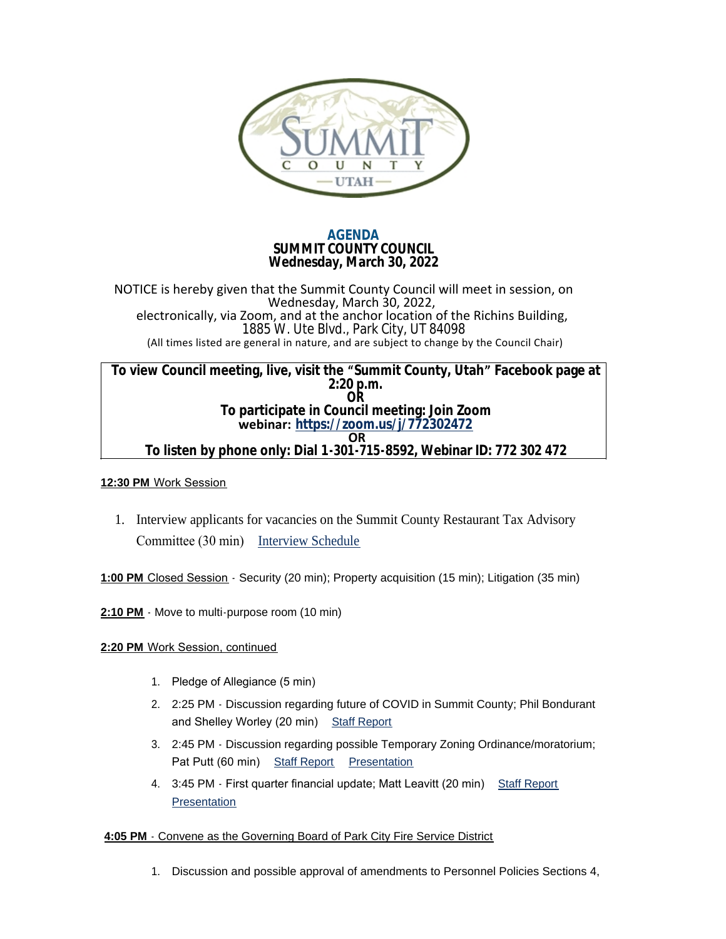

# **AGENDA SUMMIT COUNTY COUNCIL Wednesday, March 30, 2022**

NOTICE is hereby given that the Summit County Council will meet in session, on Wednesday, March 30, 2022, electronically, via Zoom, and at the anchor location of the Richins Building, 1885 W. Ute Blvd., Park City, UT 84098 (All times listed are general in nature, and are subject to change by the Council Chair)

**To view Council meeting, live, visit the "Summit County, Utah" Facebook page at 2:20 p.m. OR To participate in Council meeting: Join Zoom webinar: <https://zoom.us/j/772302472> OR To listen by phone only: Dial 1-301-715-8592, Webinar ID: 772 302 472**

## **12:30 PM** Work Session

1. Interview applicants for vacancies on the Summit County Restaurant Tax Advisory Committee (30 min) [Interview Schedule](https://summitcounty.org/DocumentCenter/View/18993)

**1:00 PM** Closed Session - Security (20 min); Property acquisition (15 min); Litigation (35 min)

2:10 PM - Move to multi-purpose room (10 min)

## **2:20 PM** Work Session, continued

- 1. Pledge of Allegiance (5 min)
- 2. 2:25 PM Discussion regarding future of COVID in Summit County; Phil Bondurant and Shelley Worley (20 min) [Staff Report](https://summitcounty.org/DocumentCenter/View/19006)
- 3. 2:45 PM Discussion regarding possible Temporary Zoning Ordinance/moratorium; Pat Putt (60 min) [Staff Report](https://summitcounty.org/DocumentCenter/View/19007) [Presentation](https://summitcounty.org/DocumentCenter/View/19008)
- 4. 3:45 PM First quarter financial update; Matt Leavitt (20 min) [Staff Report](https://summitcounty.org/DocumentCenter/View/19005) **[Presentation](https://summitcounty.org/DocumentCenter/View/18990)**

## **4:05 PM** - Convene as the Governing Board of Park City Fire Service District

1. Discussion and possible approval of amendments to Personnel Policies Sections 4,